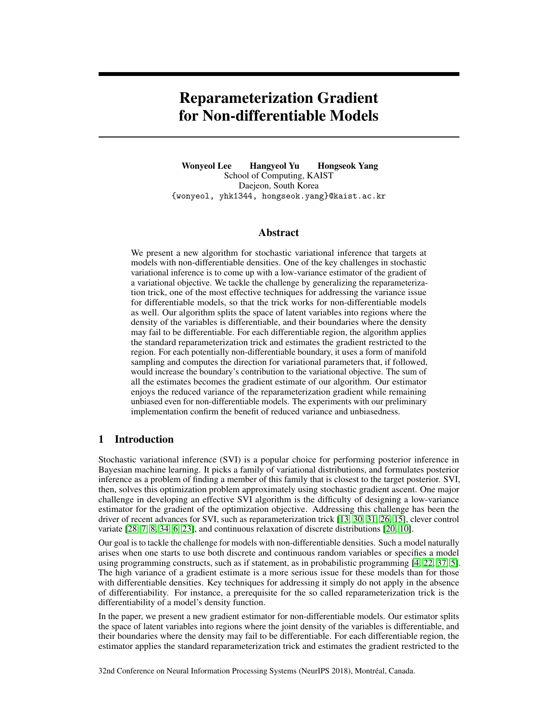# Reparameterization Gradient for Non-differentiable Models

Wonyeol Lee Hangyeol Yu Hongseok Yang School of Computing, KAIST Daejeon, South Korea {wonyeol, yhk1344, hongseok.yang}@kaist.ac.kr

### Abstract

We present a new algorithm for stochastic variational inference that targets at models with non-differentiable densities. One of the key challenges in stochastic variational inference is to come up with a low-variance estimator of the gradient of a variational objective. We tackle the challenge by generalizing the reparameterization trick, one of the most effective techniques for addressing the variance issue for differentiable models, so that the trick works for non-differentiable models as well. Our algorithm splits the space of latent variables into regions where the density of the variables is differentiable, and their boundaries where the density may fail to be differentiable. For each differentiable region, the algorithm applies the standard reparameterization trick and estimates the gradient restricted to the region. For each potentially non-differentiable boundary, it uses a form of manifold sampling and computes the direction for variational parameters that, if followed, would increase the boundary's contribution to the variational objective. The sum of all the estimates becomes the gradient estimate of our algorithm. Our estimator enjoys the reduced variance of the reparameterization gradient while remaining unbiased even for non-differentiable models. The experiments with our preliminary implementation confirm the benefit of reduced variance and unbiasedness.

### 1 Introduction

Stochastic variational inference (SVI) is a popular choice for performing posterior inference in Bayesian machine learning. It picks a family of variational distributions, and formulates posterior inference as a problem of finding a member of this family that is closest to the target posterior. SVI, then, solves this optimization problem approximately using stochastic gradient ascent. One major challenge in developing an effective SVI algorithm is the difficulty of designing a low-variance estimator for the gradient of the optimization objective. Addressing this challenge has been the driver of recent advances for SVI, such as reparameterization trick [13, 30, 31, 26, 15], clever control variate [28, 7, 8, 34, 6, 23], and continuous relaxation of discrete distributions [20, 10].

Our goal is to tackle the challenge for models with non-differentiable densities. Such a model naturally arises when one starts to use both discrete and continuous random variables or specifies a model using programming constructs, such as if statement, as in probabilistic programming [4, 22, 37, 5]. The high variance of a gradient estimate is a more serious issue for these models than for those with differentiable densities. Key techniques for addressing it simply do not apply in the absence of differentiability. For instance, a prerequisite for the so called reparameterization trick is the differentiability of a model's density function.

In the paper, we present a new gradient estimator for non-differentiable models. Our estimator splits the space of latent variables into regions where the joint density of the variables is differentiable, and their boundaries where the density may fail to be differentiable. For each differentiable region, the estimator applies the standard reparameterization trick and estimates the gradient restricted to the

32nd Conference on Neural Information Processing Systems (NeurIPS 2018), Montréal, Canada.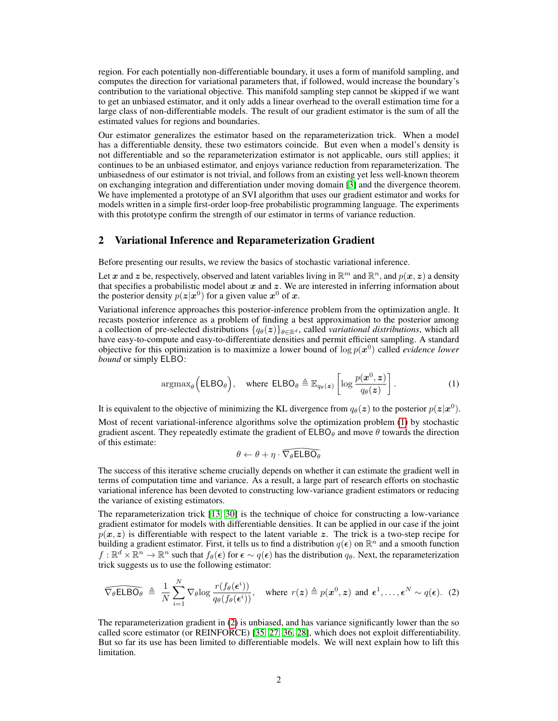region. For each potentially non-differentiable boundary, it uses a form of manifold sampling, and computes the direction for variational parameters that, if followed, would increase the boundary's contribution to the variational objective. This manifold sampling step cannot be skipped if we want to get an unbiased estimator, and it only adds a linear overhead to the overall estimation time for a large class of non-differentiable models. The result of our gradient estimator is the sum of all the estimated values for regions and boundaries.

Our estimator generalizes the estimator based on the reparameterization trick. When a model has a differentiable density, these two estimators coincide. But even when a model's density is not differentiable and so the reparameterization estimator is not applicable, ours still applies; it continues to be an unbiased estimator, and enjoys variance reduction from reparameterization. The unbiasedness of our estimator is not trivial, and follows from an existing yet less well-known theorem on exchanging integration and differentiation under moving domain [3] and the divergence theorem. We have implemented a prototype of an SVI algorithm that uses our gradient estimator and works for models written in a simple first-order loop-free probabilistic programming language. The experiments with this prototype confirm the strength of our estimator in terms of variance reduction.

### 2 Variational Inference and Reparameterization Gradient

Before presenting our results, we review the basics of stochastic variational inference.

Let x and z be, respectively, observed and latent variables living in  $\mathbb{R}^m$  and  $\mathbb{R}^n$ , and  $p(x, z)$  a density that specifies a probabilistic model about  $x$  and  $z$ . We are interested in inferring information about the posterior density  $p(z|x^0)$  for a given value  $x^0$  of  $x$ .

Variational inference approaches this posterior-inference problem from the optimization angle. It recasts posterior inference as a problem of finding a best approximation to the posterior among a collection of pre-selected distributions  $\{q_{\theta}(z)\}_{\theta \in \mathbb{R}^d}$ , called *variational distributions*, which all have easy-to-compute and easy-to-differentiate densities and permit efficient sampling. A standard objective for this optimization is to maximize a lower bound of  $\log p(x^0)$  called *evidence lower bound* or simply ELBO:

$$
\operatorname{argmax}_{\theta} \left( \mathsf{ELBO}_{\theta} \right), \quad \text{where } \mathsf{ELBO}_{\theta} \triangleq \mathbb{E}_{q_{\theta}(\boldsymbol{z})} \left[ \log \frac{p(\boldsymbol{x}^0, \boldsymbol{z})}{q_{\theta}(\boldsymbol{z})} \right]. \tag{1}
$$

It is equivalent to the objective of minimizing the KL divergence from  $q_{\theta}(z)$  to the posterior  $p(z|x^0)$ . Most of recent variational-inference algorithms solve the optimization problem (1) by stochastic gradient ascent. They repeatedly estimate the gradient of  $ELBO<sub>θ</sub>$  and move  $\theta$  towards the direction of this estimate:

$$
\theta \leftarrow \theta + \eta \cdot \widehat{\nabla_{\theta} \mathsf{ELBO}_{\theta}}
$$

 $\widehat{\nabla_{\theta} E L B O_{\theta}}$ <br>nds on wheth<br>sult, a large<br>ting low-var The success of this iterative scheme crucially depends on whether it can estimate the gradient well in terms of computation time and variance. As a result, a large part of research efforts on stochastic variational inference has been devoted to constructing low-variance gradient estimators or reducing the variance of existing estimators.

The reparameterization trick [13, 30] is the technique of choice for constructing a low-variance gradient estimator for models with differentiable densities. It can be applied in our case if the joint  $p(x, z)$  is differentiable with respect to the latent variable z. The trick is a two-step recipe for building a gradient estimator. First, it tells us to find a distribution  $q(\epsilon)$  on  $\mathbb{R}^n$  and a smooth function  $f: \mathbb{R}^d \times \mathbb{R}^n \to \mathbb{R}^n$  such that  $f_\theta(\epsilon)$  for  $\epsilon \sim q(\epsilon)$  has the distribution  $q_\theta$ . Next, the reparameterization trick suggests us to use the following estimator:

$$
\widehat{\nabla_{\theta} \text{ELBO}_{\theta}} \triangleq \frac{1}{N} \sum_{i=1}^{N} \nabla_{\theta} \log \frac{r(f_{\theta}(\epsilon^{i}))}{q_{\theta}(f_{\theta}(\epsilon^{i}))}, \text{ where } r(z) \triangleq p(x^{0}, z) \text{ and } \epsilon^{1}, \dots, \epsilon^{N} \sim q(\epsilon). \tag{2}
$$
  
The reparameterization gradient in (2) is unbiased, and has variance significantly lower than the so called score estimator (or REINFORCE) [35, 27, 36, 28], which does not exploit differentiability.

The reparameterization gradient in (2) is unbiased, and has variance significantly lower than the so But so far its use has been limited to differentiable models. We will next explain how to lift this limitation.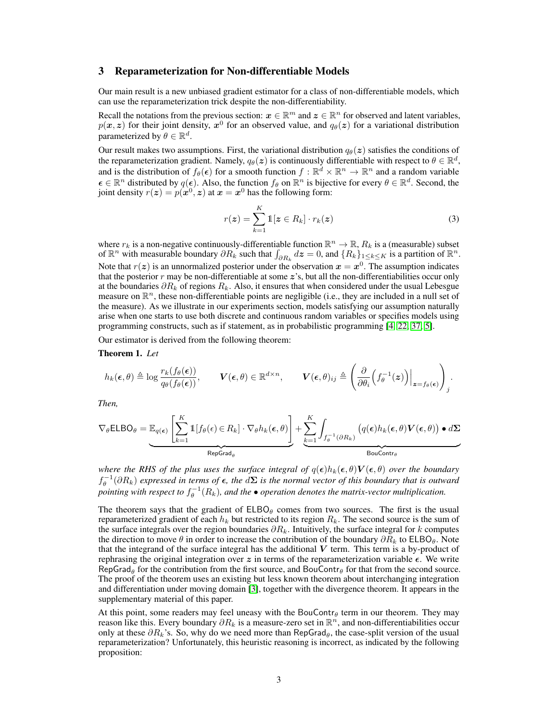### 3 Reparameterization for Non-differentiable Models

Our main result is a new unbiased gradient estimator for a class of non-differentiable models, which can use the reparameterization trick despite the non-differentiability.

Recall the notations from the previous section:  $x \in \mathbb{R}^m$  and  $z \in \mathbb{R}^n$  for observed and latent variables,  $p(x, z)$  for their joint density,  $x^0$  for an observed value, and  $q_\theta(z)$  for a variational distribution parameterized by  $\theta \in \mathbb{R}^d$ .

Our result makes two assumptions. First, the variational distribution  $q_{\theta}(z)$  satisfies the conditions of the reparameterization gradient. Namely,  $q_{\theta}(z)$  is continuously differentiable with respect to  $\theta \in \mathbb{R}^d$ , and is the distribution of  $f_\theta(\epsilon)$  for a smooth function  $f : \mathbb{R}^d \times \mathbb{R}^n \to \mathbb{R}^n$  and a random variable  $\epsilon \in \mathbb{R}^n$  distributed by  $q(\epsilon)$ . Also, the function  $f_\theta$  on  $\mathbb{R}^n$  is bijective for every  $\theta \in \mathbb{R}^d$ . Second, the joint density  $r(z) = p(x^0, z)$  at  $x = x^0$  has the following form:

$$
r(z) = \sum_{k=1}^{K} \mathbb{1}[z \in R_k] \cdot r_k(z)
$$
 (3)

where  $r_k$  is a non-negative continuously-differentiable function  $\mathbb{R}^n \to \mathbb{R}$ ,  $R_k$  is a (measurable) subset of  $\mathbb{R}^n$  with measurable boundary  $\partial R_k$  such that  $\int_{\partial R_k} dz = 0$ , and  $\{R_k\}_{1 \leq k \leq K}$  is a partition of  $\mathbb{R}^n$ . Note that  $r(z)$  is an unnormalized posterior under the observation  $x = x^0$ . The assumption indicates that the posterior  $r$  may be non-differentiable at some  $z$ 's, but all the non-differentiabilities occur only at the boundaries  $\partial R_k$  of regions  $R_k$ . Also, it ensures that when considered under the usual Lebesgue measure on  $\mathbb{R}^n$ , these non-differentiable points are negligible (i.e., they are included in a null set of the measure). As we illustrate in our experiments section, models satisfying our assumption naturally arise when one starts to use both discrete and continuous random variables or specifies models using programming constructs, such as if statement, as in probabilistic programming [4, 22, 37, 5].

Our estimator is derived from the following theorem:

#### Theorem 1. *Let*

$$
h_k(\epsilon,\theta) \triangleq \log \frac{r_k(f_{\theta}(\epsilon))}{q_{\theta}(f_{\theta}(\epsilon))}, \qquad \mathbf{V}(\epsilon,\theta) \in \mathbb{R}^{d \times n}, \qquad \mathbf{V}(\epsilon,\theta)_{ij} \triangleq \left( \frac{\partial}{\partial \theta_i} \left( f_{\theta}^{-1}(\mathbf{z}) \right) \Big|_{\mathbf{z} = f_{\theta}(\epsilon)} \right)_j.
$$

*Then,*

$$
\nabla_{\theta} \text{ELBO}_{\theta} = \underbrace{\mathbb{E}_{q(\epsilon)} \left[ \sum_{k=1}^{K} \mathbb{1}[f_{\theta}(\epsilon) \in R_k] \cdot \nabla_{\theta} h_k(\epsilon, \theta) \right]}_{\text{RepGrad}_{\theta}} + \underbrace{\sum_{k=1}^{K} \int_{f_{\theta}^{-1}(\partial R_k)} \left( q(\epsilon) h_k(\epsilon, \theta) \mathbf{V}(\epsilon, \theta) \right) \bullet d\mathbf{\Sigma}}_{\text{BouContr}_{\theta}}
$$

*where the RHS of the plus uses the surface integral of*  $q(\epsilon)h_k(\epsilon, \theta)V(\epsilon, \theta)$  *over the boundary*  $f_{\theta}^{-1}(\partial R_k)$  expressed in terms of  $\epsilon$ , the  $d\Sigma$  is the normal vector of this boundary that is outward pointing with respect to  $f_{\theta}^{-1}(R_k)$ , and the  $\bullet$  operation denotes the matrix-vector multiplication.

The theorem says that the gradient of  $E L B O<sub>\theta</sub>$  comes from two sources. The first is the usual reparameterized gradient of each  $h_k$  but restricted to its region  $R_k$ . The second source is the sum of the surface integrals over the region boundaries  $\partial R_k$ . Intuitively, the surface integral for k computes the direction to move  $\theta$  in order to increase the contribution of the boundary  $\partial R_k$  to ELBO $\theta$ . Note that the integrand of the surface integral has the additional  $V$  term. This term is a by-product of rephrasing the original integration over z in terms of the reparameterization variable  $\epsilon$ . We write RepGrad<sub> $\theta$ </sub> for the contribution from the first source, and BouContr $\theta$  for that from the second source. The proof of the theorem uses an existing but less known theorem about interchanging integration and differentiation under moving domain [3], together with the divergence theorem. It appears in the supplementary material of this paper.

At this point, some readers may feel uneasy with the BouContr $\theta$  term in our theorem. They may reason like this. Every boundary  $\partial R_k$  is a measure-zero set in  $\mathbb{R}^n$ , and non-differentiabilities occur only at these  $\partial R_k$ 's. So, why do we need more than RepGrad<sub> $\theta$ </sub>, the case-split version of the usual reparameterization? Unfortunately, this heuristic reasoning is incorrect, as indicated by the following proposition: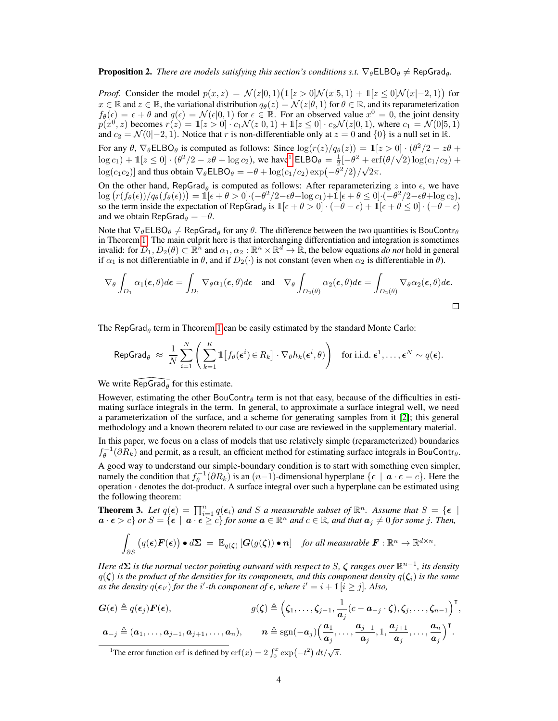# **Proposition 2.** There are models satisfying this section's conditions s.t.  $\nabla_{\theta} \in \text{LEO}_{\theta} \neq \text{RepGrad}_{\theta}$ .

*Proof.* Consider the model  $p(x, z) = \mathcal{N}(z|0, 1)(\mathbb{1}[z > 0] \mathcal{N}(x|5, 1) + \mathbb{1}[z \le 0] \mathcal{N}(x|-2, 1))$  for  $x \in \mathbb{R}$  and  $z \in \mathbb{R}$ , the variational distribution  $q_{\theta}(z) = \mathcal{N}(z|\theta, 1)$  for  $\theta \in \mathbb{R}$ , and its reparameterization  $f_{\theta}(\epsilon) = \epsilon + \theta$  and  $q(\epsilon) = \mathcal{N}(\epsilon | 0, 1)$  for  $\epsilon \in \mathbb{R}$ . For an observed value  $x^0 = 0$ , the joint density  $p(x^0, z)$  becomes  $r(z) = 1[z > 0] \cdot c_1 \mathcal{N}(z|0, 1) + 1[z \le 0] \cdot c_2 \mathcal{N}(z|0, 1)$ , where  $c_1 = \mathcal{N}(0|5, 1)$ and  $c_2 = \mathcal{N}(0|-2, 1)$ . Notice that r is non-differentiable only at  $z = 0$  and  $\{0\}$  is a null set in  $\mathbb{R}$ .

For any  $\theta$ ,  $\nabla_{\theta}$ ELBO<sub> $\theta$ </sub> is computed as follows: Since  $\log(r(z)/q_{\theta}(z)) = \mathbb{1}[z > 0] \cdot (\theta^2/2 - z\theta +$  $\log c_1$ ) + 1[z  $\leq$  0] · (θ<sup>2</sup>/2 – zθ + log c<sub>2</sub>), we have<sup>1</sup> ELBO<sub>θ</sub> =  $\frac{1}{2}[-\theta^2 + \text{erf}(\theta/\sqrt{2})\log(c_1/c_2) +$  $\log(c_1 c_2)$  and thus obtain  $\nabla_{\theta}$ ELBO $\theta = -\theta + \log(c_1/c_2) \exp(-\theta^2/2)/\sqrt{2\pi}$ .

On the other hand, RepGrad<sub> $\theta$ </sub> is computed as follows: After reparameterizing z into  $\epsilon$ , we have  $\log (r(f_{\theta}(\epsilon))/q_{\theta}(f_{\theta}(\epsilon))) = \mathbb{1}[\epsilon + \theta > 0] \cdot (-\theta^2/2 - \epsilon \theta + \log c_1) + \mathbb{1}[\epsilon + \theta \le 0] \cdot (-\theta^2/2 - \epsilon \theta + \log c_2),$ so the term inside the expectation of RepGrad<sub> $\theta$ </sub> is  $\mathbb{1}[\epsilon + \theta > 0] \cdot (-\theta - \epsilon) + \mathbb{1}[\epsilon + \theta \le 0] \cdot (-\theta - \epsilon)$ and we obtain RepGrad $_\theta = -\theta$ .

Note that  $\nabla_{\theta} E L B O_{\theta} \neq RepGrad_{\theta}$  for any  $\theta$ . The difference between the two quantities is BouContr $_{\theta}$ in Theorem 1. The main culprit here is that interchanging differentiation and integration is sometimes invalid: for  $D_1, D_2(\theta) \subset \mathbb{R}^n$  and  $\alpha_1, \alpha_2 : \mathbb{R}^n \times \mathbb{R}^d \to \mathbb{R}$ , the below equations *do not* hold in general if  $\alpha_1$  is not differentiable in  $\theta$ , and if  $D_2(\cdot)$  is not constant (even when  $\alpha_2$  is differentiable in  $\theta$ ).

$$
\nabla_{\theta} \int_{D_1} \alpha_1(\boldsymbol{\epsilon}, \theta) d\boldsymbol{\epsilon} = \int_{D_1} \nabla_{\theta} \alpha_1(\boldsymbol{\epsilon}, \theta) d\boldsymbol{\epsilon} \quad \text{and} \quad \nabla_{\theta} \int_{D_2(\theta)} \alpha_2(\boldsymbol{\epsilon}, \theta) d\boldsymbol{\epsilon} = \int_{D_2(\theta)} \nabla_{\theta} \alpha_2(\boldsymbol{\epsilon}, \theta) d\boldsymbol{\epsilon}.
$$

The RepGrad<sub> $\theta$ </sub> term in Theorem 1 can be easily estimated by the standard Monte Carlo:

$$
\mathsf{RepGrad}_{\theta} \; \approx \; \frac{1}{N} \sum_{i=1}^{N} \left( \sum_{k=1}^{K} \mathbb{1} \left[ f_{\theta}(\boldsymbol{\epsilon}^{i}) \in R_{k} \right] \cdot \nabla_{\theta} h_{k}(\boldsymbol{\epsilon}^{i}, \theta) \right) \quad \text{for i.i.d. } \boldsymbol{\epsilon}^{1}, \ldots, \boldsymbol{\epsilon}^{N} \sim q(\boldsymbol{\epsilon}).
$$

We write  $\widehat{RepGrad}_{\theta}$  for this estimate.<br>However, estimating the other BouC<br>mating surface integrals in the term.<br>a parameterization of the surface, an However, estimating the other BouContr $\theta$  term is not that easy, because of the difficulties in estimating surface integrals in the term. In general, to approximate a surface integral well, we need a parameterization of the surface, and a scheme for generating samples from it [2]; this general methodology and a known theorem related to our case are reviewed in the supplementary material.

In this paper, we focus on a class of models that use relatively simple (reparameterized) boundaries  $f_{\theta}^{-1}(\partial R_k)$  and permit, as a result, an efficient method for estimating surface integrals in BouContr $_{\theta}$ .

A good way to understand our simple-boundary condition is to start with something even simpler, namely the condition that  $f_{\theta}^{-1}(\partial R_k)$  is an  $(n-1)$ -dimensional hyperplane  $\{\epsilon \mid \mathbf{a} \cdot \epsilon = c\}$ . Here the operation · denotes the dot-product. A surface integral over such a hyperplane can be estimated using the following theorem:

**Theorem 3.** Let  $q(\epsilon) = \prod_{i=1}^{n} q(\epsilon_i)$  and S a measurable subset of  $\mathbb{R}^n$ . Assume that  $S = {\epsilon \atop \cdots}$  $\mathbf{a} \cdot \mathbf{e} > c$  *or*  $S = \{ \epsilon \mid \mathbf{a} \cdot \mathbf{e} \geq c \}$  *for some*  $\mathbf{a} \in \mathbb{R}^n$  and  $c \in \mathbb{R}$ *, and that*  $\mathbf{a}_j \neq 0$  *for some j. Then,* 

$$
\int_{\partial S} \left( q(\boldsymbol{\epsilon}) \boldsymbol{F}(\boldsymbol{\epsilon}) \right) \bullet d\mathbf{\Sigma} = \mathbb{E}_{q(\boldsymbol{\zeta})} \left[ \boldsymbol{G}(g(\boldsymbol{\zeta})) \bullet \boldsymbol{n} \right] \text{ for all measurable } \boldsymbol{F} : \mathbb{R}^n \to \mathbb{R}^{d \times n}.
$$

*Here* dΣ is the normal vector pointing outward with respect to S,  $\zeta$  ranges over  $\mathbb{R}^{n-1}$ , its density  $q(\zeta)$  *is the product of the densities for its components, and this component density*  $q(\zeta_i)$  *is the same* as the density  $q(\epsilon_{i'})$  for the i'-th component of  $\epsilon$ , where  $i' = i + 1 \cdot [\hat{i} \geq j]$ . Also,

$$
G(\epsilon) \triangleq q(\epsilon_j) \mathbf{F}(\epsilon), \qquad g(\zeta) \triangleq \left(\zeta_1, \ldots, \zeta_{j-1}, \frac{1}{a_j}(c-a_{-j} \cdot \zeta), \zeta_j, \ldots, \zeta_{n-1}\right)^{\mathsf{T}},
$$

$$
\mathbf{a}_{-j} \triangleq (\mathbf{a}_1, \ldots, \mathbf{a}_{j-1}, \mathbf{a}_{j+1}, \ldots, \mathbf{a}_n), \qquad \mathbf{n} \triangleq \mathrm{sgn}(-\mathbf{a}_j) \left(\frac{\mathbf{a}_1}{\mathbf{a}_j}, \ldots, \frac{\mathbf{a}_{j-1}}{\mathbf{a}_j}, 1, \frac{\mathbf{a}_{j+1}}{\mathbf{a}_j}, \ldots, \frac{\mathbf{a}_n}{\mathbf{a}_j}\right)^{\mathsf{T}}.
$$

<sup>&</sup>lt;sup>1</sup>The error function erf is defined by  $\operatorname{erf}(x) = 2 \int_0^x \exp(-t^2) dt / \sqrt{\pi}$ .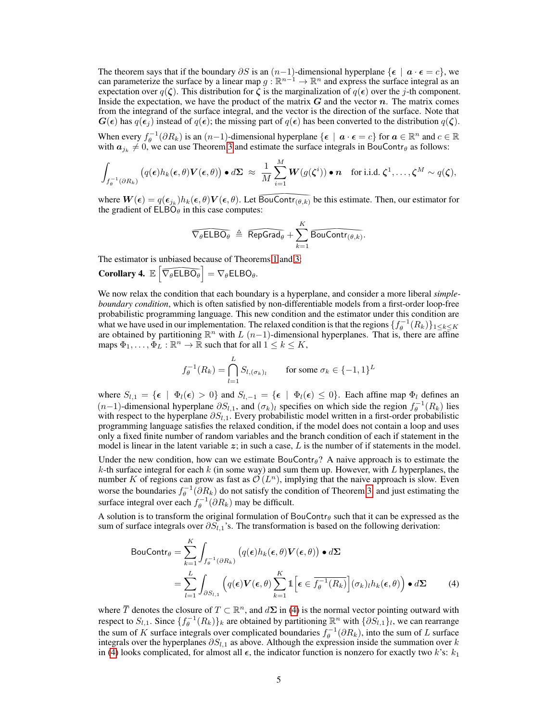The theorem says that if the boundary  $\partial S$  is an  $(n-1)$ -dimensional hyperplane  $\{\epsilon \mid \mathbf{a} \cdot \epsilon = c\}$ , we can parameterize the surface by a linear map  $g : \mathbb{R}^{n-1} \to \mathbb{R}^n$  and express the surface integral as an expectation over  $q(\zeta)$ . This distribution for  $\zeta$  is the marginalization of  $q(\epsilon)$  over the j-th component. Inside the expectation, we have the product of the matrix  $G$  and the vector  $n$ . The matrix comes from the integrand of the surface integral, and the vector is the direction of the surface. Note that  $G(\epsilon)$  has  $q(\epsilon)$  instead of  $q(\epsilon)$ ; the missing part of  $q(\epsilon)$  has been converted to the distribution  $q(\zeta)$ .

When every  $f_{\theta}^{-1}(\partial R_k)$  is an  $(n-1)$ -dimensional hyperplane  $\{\epsilon \mid \mathbf{a} \cdot \epsilon = c\}$  for  $\mathbf{a} \in \mathbb{R}^n$  and  $c \in \mathbb{R}$ with  $a_{j_k} \neq 0$ , we can use Theorem 3 and estimate the surface integrals in BouContr $\theta$  as follows:

$$
\int_{f_{\theta}^{-1}(\partial R_k)} \left( q(\boldsymbol{\epsilon}) h_k(\boldsymbol{\epsilon},\theta) \mathbf{V}(\boldsymbol{\epsilon},\theta) \right) \bullet d\boldsymbol{\Sigma} \; \approx \; \frac{1}{M} \sum_{i=1}^M \mathbf{W}(g(\boldsymbol{\zeta}^i)) \bullet \mathbf{n} \quad \text{for i.i.d. } \boldsymbol{\zeta}^1,\ldots,\boldsymbol{\zeta}^M \sim q(\boldsymbol{\zeta}),
$$

where  $W(\epsilon) = q(\epsilon_{j_k})h_k(\epsilon, \theta)V(\epsilon, \theta)$ . Let  $\overline{BouContr(\theta, k)}$  be this estimate. Then, our estimator for<br>the gradient of  $ELBO_{\theta}$  in this case computes:<br> $\overline{\nabla_{\theta}ELBO_{\theta}} \triangleq \overline{RepGrad_{\theta}} + \sum_{k=1}^{K} \overline{BouContr(\theta, k)}$ .<br>The estimator is un the gradient of  $ELB\ddot{\theta}_{\theta}$  in this case computes:

$$
\widehat{\nabla_{\theta} \text{ELBO}_{\theta}} \triangleq \widehat{\text{RepGrad}_{\theta}} + \sum_{k=1}^{K} \widehat{\text{BouContr}}_{(\theta,k)}.
$$
  
The estimator is unbiased because of Theorems 1 and 3:  
**Corollary 4.**  $\mathbb{E} \left[ \widehat{\nabla_{\theta} \text{ELBO}_{\theta}} \right] = \nabla_{\theta} \text{ELBO}_{\theta}.$   
We now relax the condition that each boundary is a hyperplane, and consider a more liberal *simple*-

The estimator is unbiased because of Theorems 1 and 3:

The estimator is unbiased because of Theore<br> **Corollary 4.**  $\mathbb{E}\left[\overline{\nabla_{\theta} E L B O_{\theta}}\right] = \nabla_{\theta} E L B O_{\theta}$ .<br>
We now relax the condition that each bound<br>
boundary condition, which is often satisfied probabilistic program *boundary condition*, which is often satisfied by non-differentiable models from a first-order loop-free probabilistic programming language. This new condition and the estimator under this condition are what we have used in our implementation. The relaxed condition is that the regions  $\{f_\theta^{-1}(R_k)\}_{1 \leq k \leq K}$ are obtained by partitioning  $\mathbb{R}^n$  with L (n-1)-dimensional hyperplanes. That is, there are affine maps  $\Phi_1, \ldots, \Phi_L : \mathbb{R}^n \to \mathbb{R}$  such that for all  $1 \leq k \leq K$ ,

$$
f_{\theta}^{-1}(R_k) = \bigcap_{l=1}^{L} S_{l,(\sigma_k)_l} \qquad \text{for some } \sigma_k \in \{-1,1\}^L
$$

where  $S_{l,1} = \{ \epsilon \mid \Phi_l(\epsilon) > 0 \}$  and  $S_{l,-1} = \{ \epsilon \mid \Phi_l(\epsilon) \leq 0 \}$ . Each affine map  $\Phi_l$  defines an  $(n-1)$ -dimensional hyperplane  $\partial S_{l,1}$ , and  $(\sigma_k)_l$  specifies on which side the region  $f_\theta^{-1}(R_k)$  lies with respect to the hyperplane  $\partial S_{l,1}$ . Every probabilistic model written in a first-order probabilistic programming language satisfies the relaxed condition, if the model does not contain a loop and uses only a fixed finite number of random variables and the branch condition of each if statement in the model is linear in the latent variable  $z$ ; in such a case, L is the number of if statements in the model.

Under the new condition, how can we estimate BouContr $\theta$ ? A naive approach is to estimate the  $k$ -th surface integral for each  $k$  (in some way) and sum them up. However, with  $L$  hyperplanes, the number K of regions can grow as fast as  $\mathcal{O}(L^n)$ , implying that the naive approach is slow. Even worse the boundaries  $f_{\theta}^{-1}(\partial R_k)$  do not satisfy the condition of Theorem 3, and just estimating the surface integral over each  $f_{\theta}^{-1}(\partial R_k)$  may be difficult.

A solution is to transform the original formulation of BouContr $\theta$  such that it can be expressed as the sum of surface integrals over  $\partial S_{l,1}$ 's. The transformation is based on the following derivation:

BoulContr<sub>$$
\theta
$$</sub> =  $\sum_{k=1}^{K} \int_{f_{\theta}^{-1}(\partial R_k)} (q(\epsilon)h_k(\epsilon, \theta) V(\epsilon, \theta)) \cdot d\Sigma$   
 =  $\sum_{l=1}^{L} \int_{\partial S_{l,1}} (q(\epsilon) V(\epsilon, \theta) \sum_{k=1}^{K} 1 \left[ \epsilon \in \overline{f_{\theta}^{-1}(R_k)} \right] (\sigma_k)_{l} h_k(\epsilon, \theta) \cdot d\Sigma$  (4)

where  $\overline{T}$  denotes the closure of  $T \subset \mathbb{R}^n$ , and  $d\Sigma$  in (4) is the normal vector pointing outward with respect to  $S_{l,1}$ . Since  $\{f_\theta^{-1}(R_k)\}_k$  are obtained by partitioning  $\mathbb{R}^n$  with  $\{\partial S_{l,1}\}_l$ , we can rearrange the sum of K surface integrals over complicated boundaries  $f_{\theta}^{-1}(\partial R_k)$ , into the sum of L surface integrals over the hyperplanes  $\partial S_{l,1}$  as above. Although the expression inside the summation over k in (4) looks complicated, for almost all  $\epsilon$ , the indicator function is nonzero for exactly two k's:  $k_1$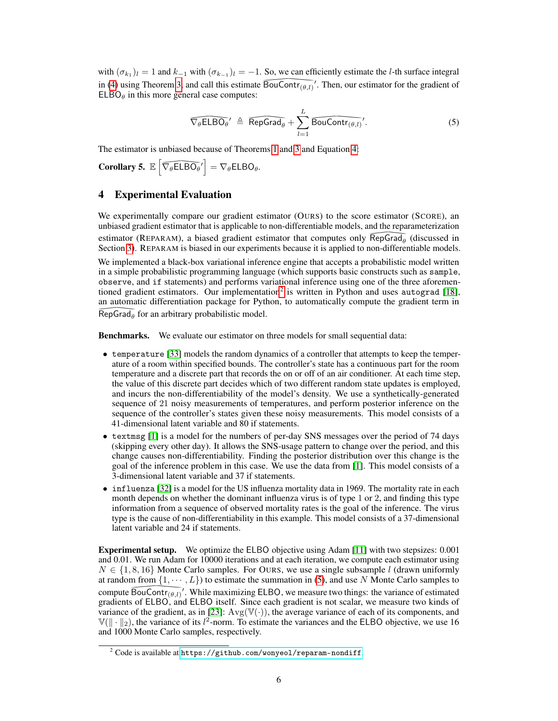with  $(\sigma_{k_1})_l = 1$  and  $k_{-1}$  with  $(\sigma_{k_{-1}})_l = -1$ . So, we can efficiently estimate the *l*-th surface integral in (4) using Theorem 3, and call this estimate  $\overline{\text{BouContr}_{(\theta,l)}}'$ .<br>ELBO<sub> $\theta$ </sub> in this more general case computes:<br> $\overline{\nabla_{\theta} \text{ELBO}_{\theta}}' \triangleq \overline{\text{RepGrad}_{\theta}} + \sum_{l=1}^{L} \overline{\text{B}}_{\theta}$  $\overline{(\theta, l)}$ . Then, our estimator for the gradient of  $E L B O<sub>θ</sub>$  in this more general case computes:

$$
\widehat{\nabla_{\theta} \text{ELBO}_{\theta}}' \triangleq \widehat{\text{RepGrad}_{\theta}} + \sum_{l=1}^{L} \widehat{\text{BouContr}_{(\theta, l)}}'. \tag{5}
$$
\nd because of Theorems 1 and 3 and Equation 4:\n
$$
\widehat{\text{SO}_{\theta}}' = \nabla_{\theta} \text{ELBO}_{\theta}.
$$

The estimator is unbiased because of Theorems 1 and 3 and Equation 4:

Corollary 5.  $\mathbb{E}\left[\overline{\nabla_{\theta} \mathsf{ELBO}_{\theta'}}\right] = \nabla_{\theta} \mathsf{ELBO}_{\theta}.$ <br>**4** Experimental Evaluation

# 4 Experimental Evaluation

We experimentally compare our gradient estimator (OURS) to the score estimator (SCORE), an unbiased gradient estimator that is applicable to non-differentiable models, and the reparameterization estimator (REPARAM), a biased gradient estimator that computes only  $\overline{\text{RepGrad}_\theta}$  (discussed in Section 3). REPARAM is biased in our experiments because it is applied to non-differentiable models We implemented a black-b Section 3). REPARAM is biased in our experiments because it is applied to non-differentiable models.

We implemented a black-box variational inference engine that accepts a probabilistic model written in a simple probabilistic programming language (which supports basic constructs such as sample, observe, and if statements) and performs variational inference using one of the three aforementioned gradient estimators. Our implementation<sup>2</sup> is written in Python and uses autograd [18], an automatic differentiation package for Python, to automatically compute the gradient term in  $\frac{1}{\text{RepGrad}_{\theta}}$  for an arbitrary probabilistic model.<br>**Benchmarks.** We evaluate our estimator on

Benchmarks. We evaluate our estimator on three models for small sequential data:

- temperature [33] models the random dynamics of a controller that attempts to keep the temperature of a room within specified bounds. The controller's state has a continuous part for the room temperature and a discrete part that records the on or off of an air conditioner. At each time step, the value of this discrete part decides which of two different random state updates is employed, and incurs the non-differentiability of the model's density. We use a synthetically-generated sequence of 21 noisy measurements of temperatures, and perform posterior inference on the sequence of the controller's states given these noisy measurements. This model consists of a 41-dimensional latent variable and 80 if statements.
- textmsg [1] is a model for the numbers of per-day SNS messages over the period of 74 days (skipping every other day). It allows the SNS-usage pattern to change over the period, and this change causes non-differentiability. Finding the posterior distribution over this change is the goal of the inference problem in this case. We use the data from [1]. This model consists of a 3-dimensional latent variable and 37 if statements.
- influenza [32] is a model for the US influenza mortality data in 1969. The mortality rate in each month depends on whether the dominant influenza virus is of type 1 or 2, and finding this type information from a sequence of observed mortality rates is the goal of the inference. The virus type is the cause of non-differentiability in this example. This model consists of a 37-dimensional latent variable and 24 if statements.

Experimental setup. We optimize the ELBO objective using Adam [11] with two stepsizes: 0.001 and 0.01. We run Adam for 10000 iterations and at each iteration, we compute each estimator using  $N \in \{1, 8, 16\}$  Monte Carlo samples. For OURS, we use a single subsample l (drawn uniformly at random from  $\{1, \dots, L\}$  to estimate the summation in (5), and use N Monte Carlo samples to compute  $\widehat{BouContr_{(\theta,l)}}'$ . While maximizing ELBO, we measure two things: the variance of estimated  $\frac{1}{2}$  BouContr  $(\theta, l)'$ .<br>
Example 1: Solomontr  $\theta$ , and<br>
BouContr ( $\theta$ , and<br>
Bouch 3: All the variance of 0.0 Monte Carlo s gradients of ELBO, and ELBO itself. Since each gradient is not scalar, we measure two kinds of variance of the gradient, as in [23]:  $Avg(\mathbb{V}(\cdot))$ , the average variance of each of its components, and  $\mathbb{V}(\|\cdot\|_2)$ , the variance of its l<sup>2</sup>-norm. To estimate the variances and the ELBO objective, we use 16 and 1000 Monte Carlo samples, respectively.

 $2$  Code is available at <https://github.com/wonyeol/reparam-nondiff>.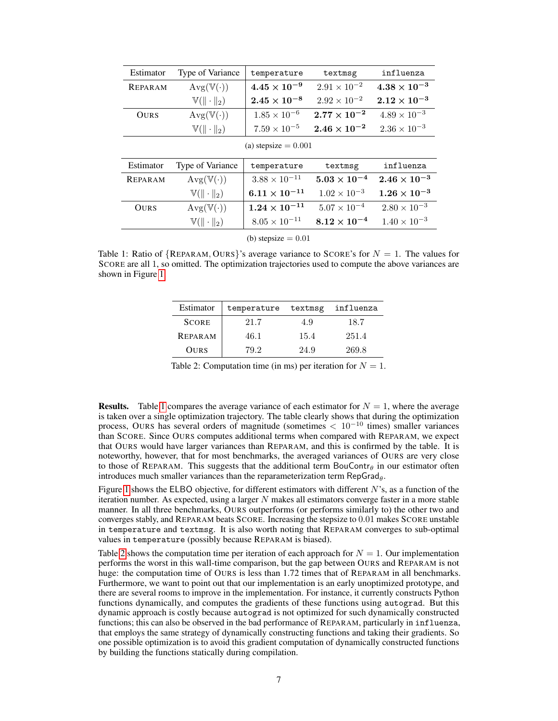| Estimator              | Type of Variance          | temperature            | textmsg               | influenza             |  |
|------------------------|---------------------------|------------------------|-----------------------|-----------------------|--|
| <b>REPARAM</b>         | $Avg(\mathbb{V}(\cdot))$  | $4.45\times10^{-9}$    | $2.91 \times 10^{-2}$ | $4.38\times10^{-3}$   |  |
|                        | $\mathbb{V}(\ \cdot\ _2)$ | $2.45\times10^{-8}$    | $2.92 \times 10^{-2}$ | $2.12\times10^{-3}$   |  |
| <b>OURS</b>            | $Avg(\mathbb{V}(\cdot))$  | $1.85 \times 10^{-6}$  | $2.77\times10^{-2}$   | $4.89 \times 10^{-3}$ |  |
|                        | $V(\ \cdot\ _2)$          | $7.59 \times 10^{-5}$  | $2.46\times10^{-2}$   | $2.36 \times 10^{-3}$ |  |
| (a) stepsize $= 0.001$ |                           |                        |                       |                       |  |
| Estimator              | Type of Variance          | temperature            | textmsg               | influenza             |  |
| <b>REPARAM</b>         | $Avg(\mathbb{V}(\cdot))$  | $3.88 \times 10^{-11}$ | $5.03\times10^{-4}$   | $2.46 \times 10^{-3}$ |  |
|                        | $\mathbb{V}(\ \cdot\ _2)$ | $6.11\times10^{-11}$   | $1.02 \times 10^{-3}$ | $1.26\times10^{-3}$   |  |
| <b>OURS</b>            | $Avg(\mathbb{V}(\cdot))$  | $1.24 \times 10^{-11}$ | $5.07 \times 10^{-4}$ | $2.80 \times 10^{-3}$ |  |
|                        | $\mathbb{V}(\ \cdot\ _2)$ | $8.05 \times 10^{-11}$ | $8.12\times10^{-4}$   | $1.40 \times 10^{-3}$ |  |
|                        |                           |                        |                       |                       |  |

(b) stepsize  $= 0.01$ 

Table 1: Ratio of  ${REPARAM, OURs}$ 's average variance to SCORE's for  $N = 1$ . The values for SCORE are all 1, so omitted. The optimization trajectories used to compute the above variances are shown in Figure 1.

| Estimator      | temperature | textmsg | influenza |
|----------------|-------------|---------|-----------|
| <b>SCORE</b>   | 21.7        | 4.9     | 18.7      |
| <b>REPARAM</b> | 46.1        | 15.4    | 251.4     |
| <b>OURS</b>    | 79.2        | 24.9    | 269.8     |

Table 2: Computation time (in ms) per iteration for  $N = 1$ .

**Results.** Table 1 compares the average variance of each estimator for  $N = 1$ , where the average is taken over a single optimization trajectory. The table clearly shows that during the optimization process, OURS has several orders of magnitude (sometimes  $< 10^{-10}$  times) smaller variances than SCORE. Since OURS computes additional terms when compared with REPARAM, we expect that OURS would have larger variances than REPARAM, and this is confirmed by the table. It is noteworthy, however, that for most benchmarks, the averaged variances of OURS are very close to those of REPARAM. This suggests that the additional term BouContr $_{\theta}$  in our estimator often introduces much smaller variances than the reparameterization term  $\mathsf{RepGrad}_\theta$ .

Figure 1 shows the ELBO objective, for different estimators with different  $N$ 's, as a function of the iteration number. As expected, using a larger  $N$  makes all estimators converge faster in a more stable manner. In all three benchmarks, OURS outperforms (or performs similarly to) the other two and converges stably, and REPARAM beats SCORE. Increasing the stepsize to 0.01 makes SCORE unstable in temperature and textmsg. It is also worth noting that REPARAM converges to sub-optimal values in temperature (possibly because REPARAM is biased).

Table 2 shows the computation time per iteration of each approach for  $N = 1$ . Our implementation performs the worst in this wall-time comparison, but the gap between OURS and REPARAM is not huge: the computation time of OURS is less than 1.72 times that of REPARAM in all benchmarks. Furthermore, we want to point out that our implementation is an early unoptimized prototype, and there are several rooms to improve in the implementation. For instance, it currently constructs Python functions dynamically, and computes the gradients of these functions using autograd. But this dynamic approach is costly because autograd is not optimized for such dynamically constructed functions; this can also be observed in the bad performance of REPARAM, particularly in influenza, that employs the same strategy of dynamically constructing functions and taking their gradients. So one possible optimization is to avoid this gradient computation of dynamically constructed functions by building the functions statically during compilation.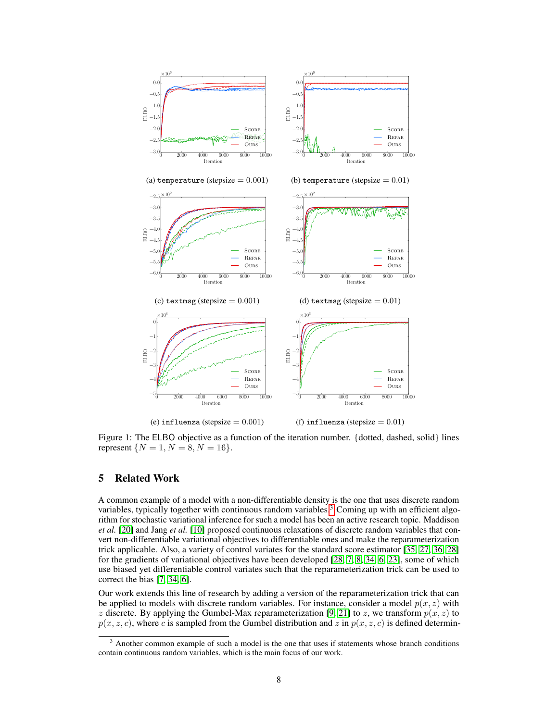

(e) influenza (stepsize  $= 0.001$ )

(f) influenza (stepsize  $= 0.01$ )

Figure 1: The ELBO objective as a function of the iteration number. {dotted, dashed, solid} lines represent  $\{N = 1, N = 8, N = 16\}.$ 

### 5 Related Work

A common example of a model with a non-differentiable density is the one that uses discrete random variables, typically together with continuous random variables.<sup>3</sup> Coming up with an efficient algorithm for stochastic variational inference for such a model has been an active research topic. Maddison *et al.* [20] and Jang *et al.* [10] proposed continuous relaxations of discrete random variables that convert non-differentiable variational objectives to differentiable ones and make the reparameterization trick applicable. Also, a variety of control variates for the standard score estimator [35, 27, 36, 28] for the gradients of variational objectives have been developed [28, 7, 8, 34, 6, 23], some of which use biased yet differentiable control variates such that the reparameterization trick can be used to correct the bias [7, 34, 6].

Our work extends this line of research by adding a version of the reparameterization trick that can be applied to models with discrete random variables. For instance, consider a model  $p(x, z)$  with z discrete. By applying the Gumbel-Max reparameterization [9, 21] to z, we transform  $p(x, z)$  to  $p(x, z, c)$ , where c is sampled from the Gumbel distribution and z in  $p(x, z, c)$  is defined determin-

<sup>&</sup>lt;sup>3</sup> Another common example of such a model is the one that uses if statements whose branch conditions contain continuous random variables, which is the main focus of our work.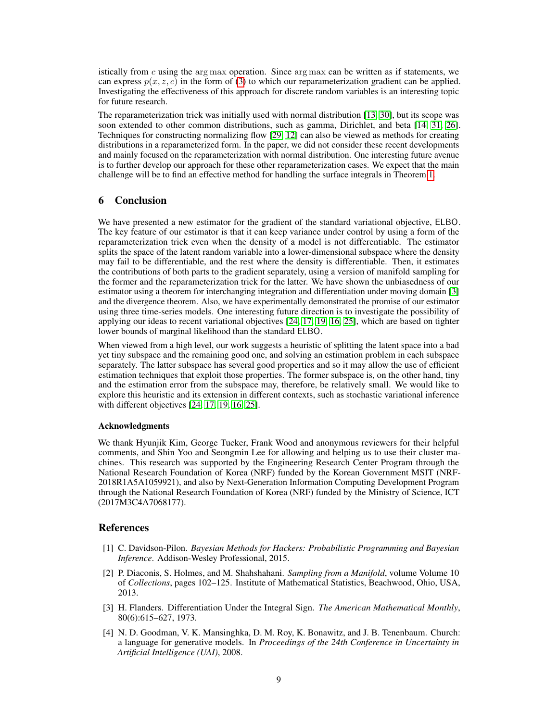istically from c using the arg max operation. Since arg max can be written as if statements, we can express  $p(x, z, c)$  in the form of (3) to which our reparameterization gradient can be applied. Investigating the effectiveness of this approach for discrete random variables is an interesting topic for future research.

The reparameterization trick was initially used with normal distribution [13, 30], but its scope was soon extended to other common distributions, such as gamma, Dirichlet, and beta [14, 31, 26]. Techniques for constructing normalizing flow [29, 12] can also be viewed as methods for creating distributions in a reparameterized form. In the paper, we did not consider these recent developments and mainly focused on the reparameterization with normal distribution. One interesting future avenue is to further develop our approach for these other reparameterization cases. We expect that the main challenge will be to find an effective method for handling the surface integrals in Theorem 1.

## 6 Conclusion

We have presented a new estimator for the gradient of the standard variational objective, ELBO. The key feature of our estimator is that it can keep variance under control by using a form of the reparameterization trick even when the density of a model is not differentiable. The estimator splits the space of the latent random variable into a lower-dimensional subspace where the density may fail to be differentiable, and the rest where the density is differentiable. Then, it estimates the contributions of both parts to the gradient separately, using a version of manifold sampling for the former and the reparameterization trick for the latter. We have shown the unbiasedness of our estimator using a theorem for interchanging integration and differentiation under moving domain [3] and the divergence theorem. Also, we have experimentally demonstrated the promise of our estimator using three time-series models. One interesting future direction is to investigate the possibility of applying our ideas to recent variational objectives [24, 17, 19, 16, 25], which are based on tighter lower bounds of marginal likelihood than the standard ELBO.

When viewed from a high level, our work suggests a heuristic of splitting the latent space into a bad yet tiny subspace and the remaining good one, and solving an estimation problem in each subspace separately. The latter subspace has several good properties and so it may allow the use of efficient estimation techniques that exploit those properties. The former subspace is, on the other hand, tiny and the estimation error from the subspace may, therefore, be relatively small. We would like to explore this heuristic and its extension in different contexts, such as stochastic variational inference with different objectives [24, 17, 19, 16, 25].

### Acknowledgments

We thank Hyunjik Kim, George Tucker, Frank Wood and anonymous reviewers for their helpful comments, and Shin Yoo and Seongmin Lee for allowing and helping us to use their cluster machines. This research was supported by the Engineering Research Center Program through the National Research Foundation of Korea (NRF) funded by the Korean Government MSIT (NRF-2018R1A5A1059921), and also by Next-Generation Information Computing Development Program through the National Research Foundation of Korea (NRF) funded by the Ministry of Science, ICT (2017M3C4A7068177).

### References

- [1] C. Davidson-Pilon. *Bayesian Methods for Hackers: Probabilistic Programming and Bayesian Inference*. Addison-Wesley Professional, 2015.
- [2] P. Diaconis, S. Holmes, and M. Shahshahani. *Sampling from a Manifold*, volume Volume 10 of *Collections*, pages 102–125. Institute of Mathematical Statistics, Beachwood, Ohio, USA, 2013.
- [3] H. Flanders. Differentiation Under the Integral Sign. *The American Mathematical Monthly*, 80(6):615–627, 1973.
- [4] N. D. Goodman, V. K. Mansinghka, D. M. Roy, K. Bonawitz, and J. B. Tenenbaum. Church: a language for generative models. In *Proceedings of the 24th Conference in Uncertainty in Artificial Intelligence (UAI)*, 2008.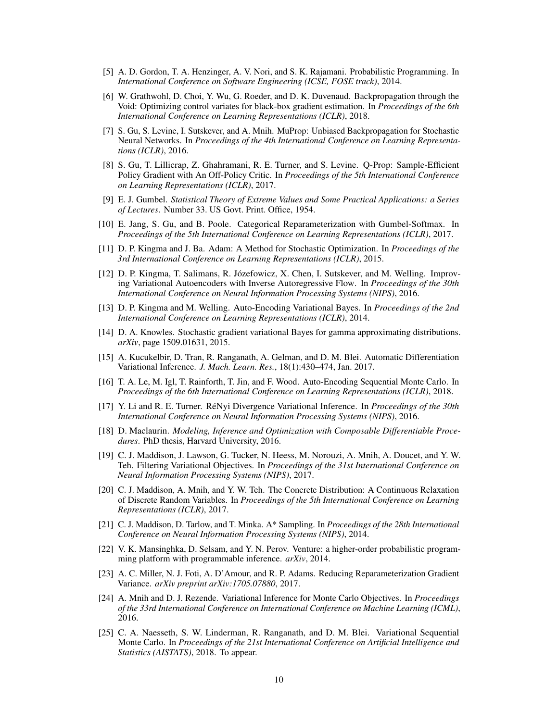- [5] A. D. Gordon, T. A. Henzinger, A. V. Nori, and S. K. Rajamani. Probabilistic Programming. In *International Conference on Software Engineering (ICSE, FOSE track)*, 2014.
- [6] W. Grathwohl, D. Choi, Y. Wu, G. Roeder, and D. K. Duvenaud. Backpropagation through the Void: Optimizing control variates for black-box gradient estimation. In *Proceedings of the 6th International Conference on Learning Representations (ICLR)*, 2018.
- [7] S. Gu, S. Levine, I. Sutskever, and A. Mnih. MuProp: Unbiased Backpropagation for Stochastic Neural Networks. In *Proceedings of the 4th International Conference on Learning Representations (ICLR)*, 2016.
- [8] S. Gu, T. Lillicrap, Z. Ghahramani, R. E. Turner, and S. Levine. Q-Prop: Sample-Efficient Policy Gradient with An Off-Policy Critic. In *Proceedings of the 5th International Conference on Learning Representations (ICLR)*, 2017.
- [9] E. J. Gumbel. *Statistical Theory of Extreme Values and Some Practical Applications: a Series of Lectures*. Number 33. US Govt. Print. Office, 1954.
- [10] E. Jang, S. Gu, and B. Poole. Categorical Reparameterization with Gumbel-Softmax. In *Proceedings of the 5th International Conference on Learning Representations (ICLR)*, 2017.
- [11] D. P. Kingma and J. Ba. Adam: A Method for Stochastic Optimization. In *Proceedings of the 3rd International Conference on Learning Representations (ICLR)*, 2015.
- [12] D. P. Kingma, T. Salimans, R. Józefowicz, X. Chen, I. Sutskever, and M. Welling. Improving Variational Autoencoders with Inverse Autoregressive Flow. In *Proceedings of the 30th International Conference on Neural Information Processing Systems (NIPS)*, 2016.
- [13] D. P. Kingma and M. Welling. Auto-Encoding Variational Bayes. In *Proceedings of the 2nd International Conference on Learning Representations (ICLR)*, 2014.
- [14] D. A. Knowles. Stochastic gradient variational Bayes for gamma approximating distributions. *arXiv*, page 1509.01631, 2015.
- [15] A. Kucukelbir, D. Tran, R. Ranganath, A. Gelman, and D. M. Blei. Automatic Differentiation Variational Inference. *J. Mach. Learn. Res.*, 18(1):430–474, Jan. 2017.
- [16] T. A. Le, M. Igl, T. Rainforth, T. Jin, and F. Wood. Auto-Encoding Sequential Monte Carlo. In *Proceedings of the 6th International Conference on Learning Representations (ICLR)*, 2018.
- [17] Y. Li and R. E. Turner. RéNyi Divergence Variational Inference. In *Proceedings of the 30th International Conference on Neural Information Processing Systems (NIPS)*, 2016.
- [18] D. Maclaurin. *Modeling, Inference and Optimization with Composable Differentiable Procedures*. PhD thesis, Harvard University, 2016.
- [19] C. J. Maddison, J. Lawson, G. Tucker, N. Heess, M. Norouzi, A. Mnih, A. Doucet, and Y. W. Teh. Filtering Variational Objectives. In *Proceedings of the 31st International Conference on Neural Information Processing Systems (NIPS)*, 2017.
- [20] C. J. Maddison, A. Mnih, and Y. W. Teh. The Concrete Distribution: A Continuous Relaxation of Discrete Random Variables. In *Proceedings of the 5th International Conference on Learning Representations (ICLR)*, 2017.
- [21] C. J. Maddison, D. Tarlow, and T. Minka. A\* Sampling. In *Proceedings of the 28th International Conference on Neural Information Processing Systems (NIPS)*, 2014.
- [22] V. K. Mansinghka, D. Selsam, and Y. N. Perov. Venture: a higher-order probabilistic programming platform with programmable inference. *arXiv*, 2014.
- [23] A. C. Miller, N. J. Foti, A. D'Amour, and R. P. Adams. Reducing Reparameterization Gradient Variance. *arXiv preprint arXiv:1705.07880*, 2017.
- [24] A. Mnih and D. J. Rezende. Variational Inference for Monte Carlo Objectives. In *Proceedings of the 33rd International Conference on International Conference on Machine Learning (ICML)*, 2016.
- [25] C. A. Naesseth, S. W. Linderman, R. Ranganath, and D. M. Blei. Variational Sequential Monte Carlo. In *Proceedings of the 21st International Conference on Artificial Intelligence and Statistics (AISTATS)*, 2018. To appear.